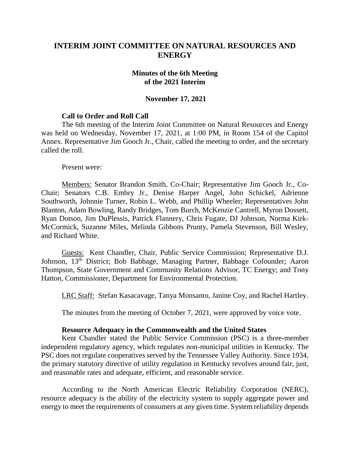# **INTERIM JOINT COMMITTEE ON NATURAL RESOURCES AND ENERGY**

### **Minutes of the 6th Meeting of the 2021 Interim**

### **November 17, 2021**

### **Call to Order and Roll Call**

The 6th meeting of the Interim Joint Committee on Natural Resources and Energy was held on Wednesday, November 17, 2021, at 1:00 PM, in Room 154 of the Capitol Annex. Representative Jim Gooch Jr., Chair, called the meeting to order, and the secretary called the roll.

Present were:

Members: Senator Brandon Smith, Co-Chair; Representative Jim Gooch Jr., Co-Chair; Senators C.B. Embry Jr., Denise Harper Angel, John Schickel, Adrienne Southworth, Johnnie Turner, Robin L. Webb, and Phillip Wheeler; Representatives John Blanton, Adam Bowling, Randy Bridges, Tom Burch, McKenzie Cantrell, Myron Dossett, Ryan Dotson, Jim DuPlessis, Patrick Flannery, Chris Fugate, DJ Johnson, Norma Kirk-McCormick, Suzanne Miles, Melinda Gibbons Prunty, Pamela Stevenson, Bill Wesley, and Richard White.

Guests: Kent Chandler, Chair, Public Service Commission; Representative D.J. Johnson, 13th District; Bob Babbage, Managing Partner, Babbage Cofounder; Aaron Thompson, State Government and Community Relations Advisor, TC Energy; and Tony Hatton, Commissioner, Department for Environmental Protection.

LRC Staff: Stefan Kasacavage, Tanya Monsanto, Janine Coy, and Rachel Hartley.

The minutes from the meeting of October 7, 2021, were approved by voice vote.

#### **Resource Adequacy in the Commonwealth and the United States**

Kent Chandler stated the Public Service Commission (PSC) is a three-member independent regulatory agency, which regulates non-municipal utilities in Kentucky. The PSC does not regulate cooperatives served by the Tennessee Valley Authority. Since 1934, the primary statutory directive of utility regulation in Kentucky revolves around fair, just, and reasonable rates and adequate, efficient, and reasonable service.

According to the North American Electric Reliability Corporation (NERC), resource adequacy is the ability of the electricity system to supply aggregate power and energy to meet the requirements of consumers at any given time. System reliability depends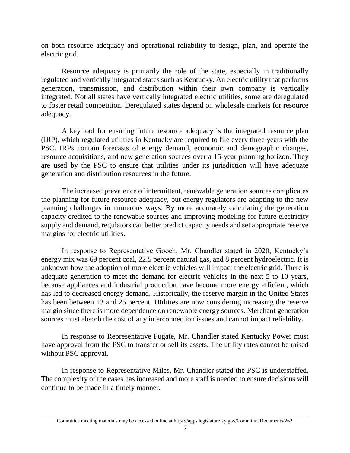on both resource adequacy and operational reliability to design, plan, and operate the electric grid.

Resource adequacy is primarily the role of the state, especially in traditionally regulated and vertically integrated states such as Kentucky. An electric utility that performs generation, transmission, and distribution within their own company is vertically integrated. Not all states have vertically integrated electric utilities, some are deregulated to foster retail competition. Deregulated states depend on wholesale markets for resource adequacy.

A key tool for ensuring future resource adequacy is the integrated resource plan (IRP), which regulated utilities in Kentucky are required to file every three years with the PSC. IRPs contain forecasts of energy demand, economic and demographic changes, resource acquisitions, and new generation sources over a 15-year planning horizon. They are used by the PSC to ensure that utilities under its jurisdiction will have adequate generation and distribution resources in the future.

The increased prevalence of intermittent, renewable generation sources complicates the planning for future resource adequacy, but energy regulators are adapting to the new planning challenges in numerous ways. By more accurately calculating the generation capacity credited to the renewable sources and improving modeling for future electricity supply and demand, regulators can better predict capacity needs and set appropriate reserve margins for electric utilities.

In response to Representative Gooch, Mr. Chandler stated in 2020, Kentucky's energy mix was 69 percent coal, 22.5 percent natural gas, and 8 percent hydroelectric. It is unknown how the adoption of more electric vehicles will impact the electric grid. There is adequate generation to meet the demand for electric vehicles in the next 5 to 10 years, because appliances and industrial production have become more energy efficient, which has led to decreased energy demand. Historically, the reserve margin in the United States has been between 13 and 25 percent. Utilities are now considering increasing the reserve margin since there is more dependence on renewable energy sources. Merchant generation sources must absorb the cost of any interconnection issues and cannot impact reliability.

In response to Representative Fugate, Mr. Chandler stated Kentucky Power must have approval from the PSC to transfer or sell its assets. The utility rates cannot be raised without PSC approval.

In response to Representative Miles, Mr. Chandler stated the PSC is understaffed. The complexity of the cases has increased and more staff is needed to ensure decisions will continue to be made in a timely manner.

Committee meeting materials may be accessed online at https://apps.legislature.ky.gov/CommitteeDocuments/262